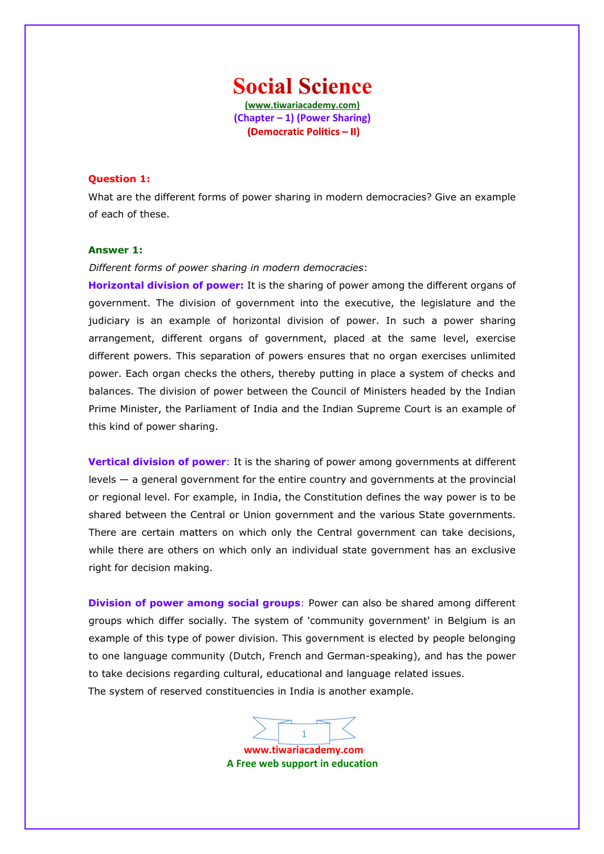**Social Science (www.tiwariacademy.com) (Chapter – 1) (Power Sharing)** (Democratic Politics - II)

#### **Question 1:**

What are the different [forms of power sharing in modern democra](www.tiwariacademy.com)cies? Give an example of each of these.

#### **Answer 1:**

#### *Different forms of power sharing in modern democracies*:

**Horizontal division of power:** It is the sharing of power among the different organs of government. The division of government into the executive, the legislature and the judiciary is an example of horizontal division of power. In such a power sharing arrangement, different organs of government, placed at the same level, exercise different powers. This separation of powers ensures that no organ exercises unlimited power. Each organ checks the others, thereby putting in place a system of checks and balances. The division of power between the Council of Ministers headed by the Indian Prime Minister, the Parliament of India and the Indian Supreme Court is an example of this kind of power sharing.

**Vertical division of power**: It is the sharing of power among governments at different levels — a general government for the entire country and governments at the provincial or regional level. For example, in India, the Constitution defines the way power is to be shared between the C[entral or Union government and the various](www.tiwariacademy.com) State governments. There are certain matters on which only the Central government can take decisions, while there are others on which only an individual state government has an exclusive right for decision making.

**Division of power among social groups**: Power can also be shared among different groups which differ socially. The system of 'community government' in Belgium is an example of this type of power division. This government is elected by people belonging to one language community (Dutch, French and German-speaking), and has the power to take decisions regarding cultural, educational and language related issues. The system of reserved constituencies in India is another example.

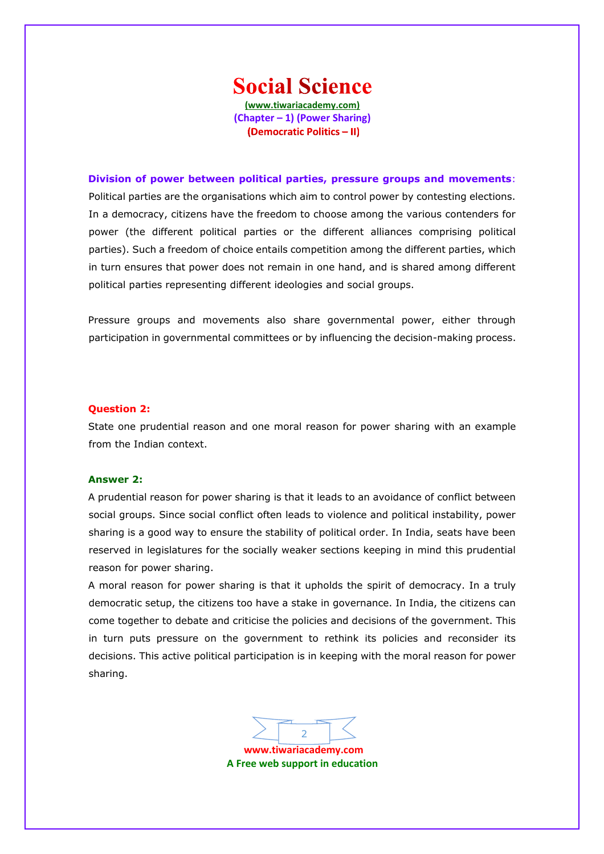## **Social Science**

**(www.tiwariacademy.com) (Chapter – 1) (Power Sharing)** (Democratic Politics - II)

**Division of power between political parties, pressure groups and movements**: Political parties are the organisations which aim to control power by contesting elections. In a democracy, citizens have the freedom to choose among the various contenders for power (the different political parties or the different alliances comprising political parties). Such a freedom of choice entails competition among the different parties, which in turn ensures that power does not remain in one hand, and is shared among different political parties representing different ideologies and social groups.

Pressure groups and movements also share governmental power, either through participation in governmental committees or by influencing the decision-making process.

#### **Question 2:**

State one prudential reason and one moral reason for power sharing with an example from the Indian context.

#### **Answer 2:**

A prudential reason for power sharing is that it leads to an avoidance of conflict between social groups. Since social conflict often leads to violence and political instability, power sharing is a good way to ensure the stability of political order. In India, seats have been reserved in legislatures for the socially weaker sections keeping in mind this prudential reason for power sharing.

A moral reason for power sharing is that it upholds the spirit of democracy. In a truly democratic setup, the citizens too have a stake in governance. In India, the citizens can come together to debate and criticise the policies and decisions of the government. This in turn puts pressure on the government to rethink its policies and reconsider its decisions. This active political participation is in keeping with the moral reason for power sharing.

 $\overline{2}$  $\overline{2}$  $\overline{2}$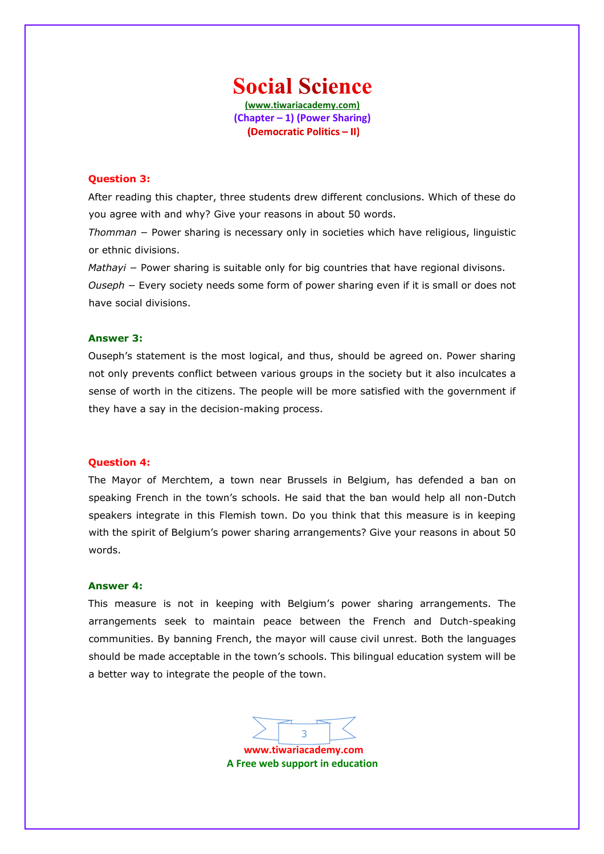### **Social Science (www.tiwariacademy.com)**

**(Chapter – 1) (Power Sharing)** (Democratic Politics - II)

#### **Question 3:**

After reading this chapter, three students drew different conclusions. Which of these do you agree with and why? Give your reasons in about 50 words.

*Thomman* − Power sharing is necessary only in societies which have religious, linguistic or ethnic divisions.

*Mathayi* − Power sharing is suitable only for big countries that have regional divisons. *Ouseph* − Every society needs some form of power sharing even if it is small or does not have social divisions.

#### **Answer 3:**

Ouseph's statement is the most logical, and thus, should be agreed on. Power sharing not only prevents conflict between various groups in the society but it also inculcates a sense of worth in the citizens. The people will be more satisfied with the government if they have a say in the decision-making process.

#### **Question 4:**

The Mayor of Merchtem, a town near Brussels in Belgium, has defended a ban on speaking Fr[ench in the town's schools. He said that the ban wou](www.tiwariacademy.com)ld help all non-Dutch speakers integrate in this Flemish town. Do you think that this measure is in keeping with the spirit of Belgium's power sharing arrangements? Give your reasons in about 50 words.

#### **Answer 4:**

This measure is not in keeping with Belgium's power sharing arrangements. The arrangements seek to maintain peace between the French and Dutch-speaking communities. By banning French, the mayor will cause civil unrest. Both the languages should be made acceptable in the town's schools. This bilingual education system will be a better way to integrate the people of the town.

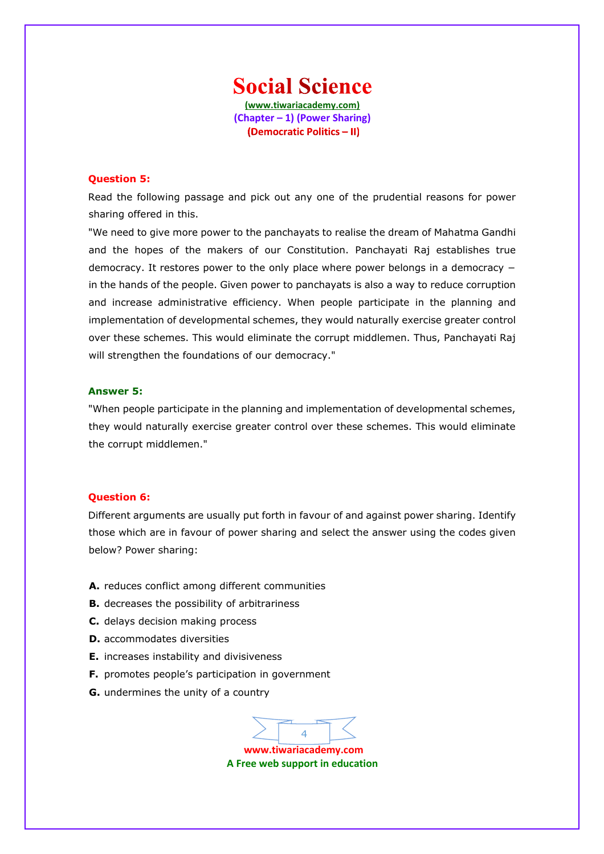**Social Science (www.tiwariacademy.com) (Chapter – 1) (Power Sharing)** (Democratic Politics - II)

#### **Question 5:**

Read the following passage and pick out any one of the prudential reasons for power sharing offered in this.

"We need t[o give more power to th](www.tiwariacademy.com)e panchayats to realise the dream of Mahatma Gandhi and the hopes of the makers of our Constitution. Panchayati Raj establishes true democracy. It restores power to the only place where power belongs in a democracy − in the hands of the people. Given power to panchayats is also a way to reduce corruption and increase administrative efficiency. When people participate in the planning and implementation of developmental schemes, they would naturally exercise greater control over these schemes. This would eliminate the corrupt middlemen. Thus, Panchayati Raj will strengthen the foundations of our democracy."

#### **Answer 5:**

"When people participate in the planning and implementation of developmental schemes, they would naturally exercise greater control over these schemes. This would eliminate the corrupt middlemen."

#### **Question 6:**

Different arguments are usually put forth in favour of and against power sharing. Identify those which are in favour of power sharing and select the answer using the codes given below? Power sharing:

- **A.** reduces conflict among different communities
- **B.** decreases the possibility of arbitrariness
- **C.** delays decision making process
- **D.** accommodates diversities
- **E.** increases instability and divisiveness
- **F.** promotes people's participation in government
- **G.** undermines the unity of a country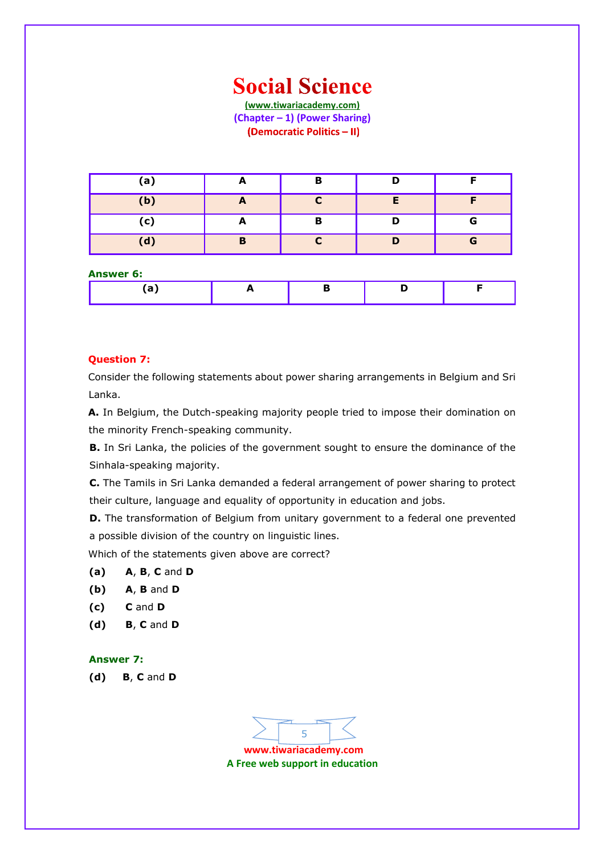### **Social Science**

**(www.tiwariacademy.com) (Chapter – 1) (Power Sharing)** (Democratic Politics - II)

| (a) |   | в |   |
|-----|---|---|---|
| (b) |   |   |   |
| (c) | - | B | G |
| (d) | Ð |   | G |

#### **[Answer](www.tiwariacademy.com) 6:**

| - - |  |  |
|-----|--|--|

#### **Question 7:**

Consider the following statements about power sharing arrangements in Belgium and Sri Lanka.

**Α.** In Belgium, the Dutch-speaking majority people tried to impose their domination on the minority French-speaking community.

**B.** In Sri Lanka, the policies of the government sought to ensure the dominance of the Sinhala-speaking majority.

**C.** The Tamils in Sri Lanka demanded a federal arrangement of power sharing to protect their culture, language and equality of opportunity in education and jobs.

**D.** The transformation of Belgium from unitary government to a federal one prevented a possible division of the country on linguistic lines.

Which of the statements given above are correct?

#### **(a) A**, **B**, **C** and **D**

- **(b) A**, **B** and **D**
- **(c) C** and **D**
- **(d) B**, **C** and **D**

#### **Answer 7:**

**(d) B**, **C** and **D**

5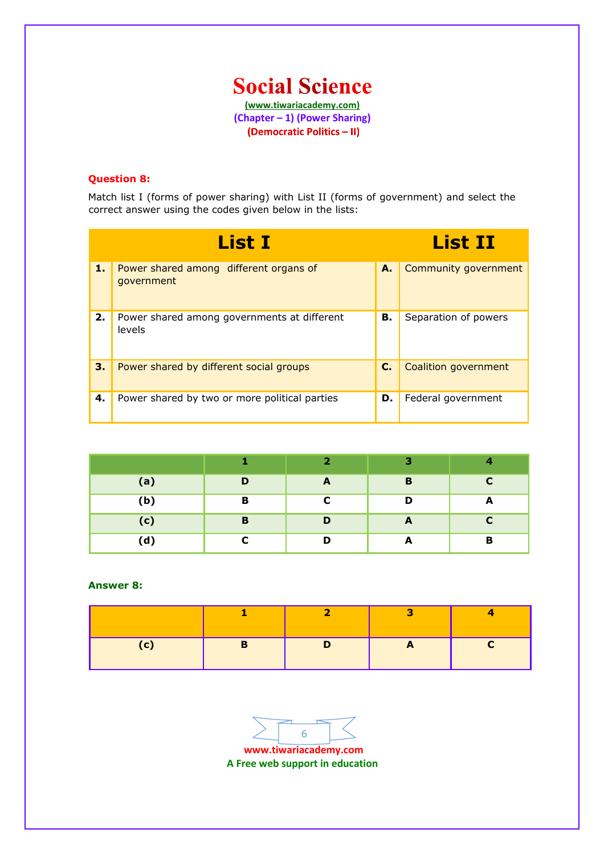

(Democratic Politics - II)

#### **Question 8:**

Match list I (forms of power sharing) with List II (forms of government) and select the correct answer using the codes given below in the lists:

|    | <b>List I</b>                                         |    | <b>List II</b>       |
|----|-------------------------------------------------------|----|----------------------|
| 1. | Power shared among different organs of<br>qovernment  | А. | Community government |
| 2. | Power shared among governments at different<br>levels | В. | Separation of powers |
| 3. | Power shared by different social groups               | C. | Coalition government |
| 4. | Power shared by two or more political parties         | D. | Federal government   |

|     |   | $\overline{\phantom{a}}$ | з |   |
|-----|---|--------------------------|---|---|
| (a) | D | A                        | B |   |
| (b) | B |                          |   | m |
| (c) | B | D                        | A |   |
| (d) |   | D                        | m | Ð |

#### **Answer 8:**

**www.tiwariacademy.com** 6

**A Free web support in education**